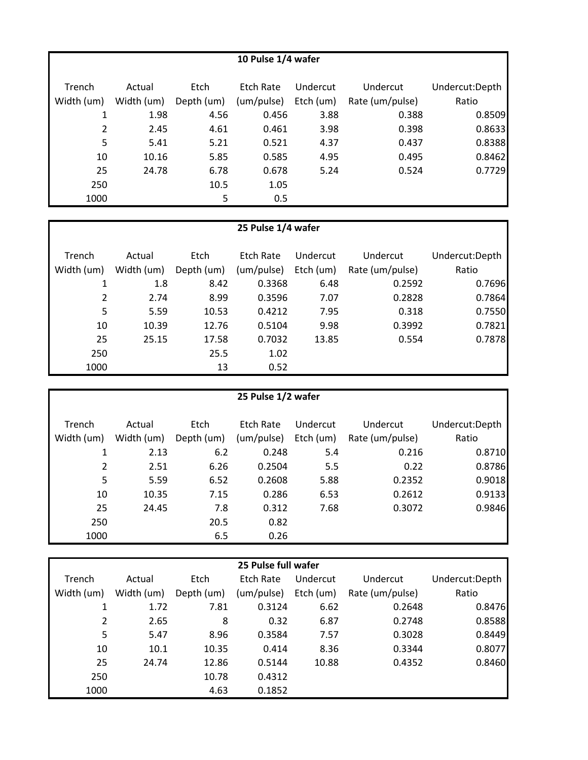| 10 Pulse 1/4 wafer |            |            |            |           |                 |                |  |  |
|--------------------|------------|------------|------------|-----------|-----------------|----------------|--|--|
| Trench             | Actual     | Etch       | Etch Rate  | Undercut  | Undercut        | Undercut:Depth |  |  |
| Width (um)         | Width (um) | Depth (um) | (um/pulse) | Etch (um) | Rate (um/pulse) | Ratio          |  |  |
| 1                  | 1.98       | 4.56       | 0.456      | 3.88      | 0.388           | 0.8509         |  |  |
| $\overline{2}$     | 2.45       | 4.61       | 0.461      | 3.98      | 0.398           | 0.8633         |  |  |
| 5                  | 5.41       | 5.21       | 0.521      | 4.37      | 0.437           | 0.8388         |  |  |
| 10                 | 10.16      | 5.85       | 0.585      | 4.95      | 0.495           | 0.8462         |  |  |
| 25                 | 24.78      | 6.78       | 0.678      | 5.24      | 0.524           | 0.7729         |  |  |
| 250                |            | 10.5       | 1.05       |           |                 |                |  |  |
| 1000               |            | 5          | 0.5        |           |                 |                |  |  |

| Trench<br>Width (um) | Actual<br>Width (um) | Etch<br>Depth (um) | Etch Rate<br>(um/pulse) | Undercut<br>Etch (um) | Undercut<br>Rate (um/pulse) | Undercut:Depth<br>Ratio |
|----------------------|----------------------|--------------------|-------------------------|-----------------------|-----------------------------|-------------------------|
|                      | 1.8                  | 8.42               | 0.3368                  | 6.48                  | 0.2592                      | 0.7696                  |
| 2                    | 2.74                 | 8.99               | 0.3596                  | 7.07                  | 0.2828                      | 0.7864                  |
| 5                    | 5.59                 | 10.53              | 0.4212                  | 7.95                  | 0.318                       | 0.7550                  |
| 10                   | 10.39                | 12.76              | 0.5104                  | 9.98                  | 0.3992                      | 0.7821                  |
| 25                   | 25.15                | 17.58              | 0.7032                  | 13.85                 | 0.554                       | 0.7878                  |
| 250                  |                      | 25.5               | 1.02                    |                       |                             |                         |
| 1000                 |                      | 13                 | 0.52                    |                       |                             |                         |

| 25 Pulse 1/2 wafer |            |            |            |           |                 |                |  |  |
|--------------------|------------|------------|------------|-----------|-----------------|----------------|--|--|
| Trench             | Actual     | Etch       | Etch Rate  | Undercut  | Undercut        | Undercut:Depth |  |  |
| Width (um)         | Width (um) | Depth (um) | (um/pulse) | Etch (um) | Rate (um/pulse) | Ratio          |  |  |
| 1                  | 2.13       | 6.2        | 0.248      | 5.4       | 0.216           | 0.8710         |  |  |
| $\overline{2}$     | 2.51       | 6.26       | 0.2504     | 5.5       | 0.22            | 0.8786         |  |  |
| 5                  | 5.59       | 6.52       | 0.2608     | 5.88      | 0.2352          | 0.9018         |  |  |
| 10                 | 10.35      | 7.15       | 0.286      | 6.53      | 0.2612          | 0.9133         |  |  |
| 25                 | 24.45      | 7.8        | 0.312      | 7.68      | 0.3072          | 0.9846         |  |  |
| 250                |            | 20.5       | 0.82       |           |                 |                |  |  |
| 1000               |            | 6.5        | 0.26       |           |                 |                |  |  |

| 25 Pulse full wafer |            |            |            |           |                 |                |  |  |
|---------------------|------------|------------|------------|-----------|-----------------|----------------|--|--|
| Trench              | Actual     | Etch       | Etch Rate  | Undercut  | Undercut        | Undercut:Depth |  |  |
| Width (um)          | Width (um) | Depth (um) | (um/pulse) | Etch (um) | Rate (um/pulse) | Ratio          |  |  |
| 1                   | 1.72       | 7.81       | 0.3124     | 6.62      | 0.2648          | 0.8476         |  |  |
| $\overline{2}$      | 2.65       | 8          | 0.32       | 6.87      | 0.2748          | 0.8588         |  |  |
| 5                   | 5.47       | 8.96       | 0.3584     | 7.57      | 0.3028          | 0.8449         |  |  |
| 10                  | 10.1       | 10.35      | 0.414      | 8.36      | 0.3344          | 0.8077         |  |  |
| 25                  | 24.74      | 12.86      | 0.5144     | 10.88     | 0.4352          | 0.8460         |  |  |
| 250                 |            | 10.78      | 0.4312     |           |                 |                |  |  |
| 1000                |            | 4.63       | 0.1852     |           |                 |                |  |  |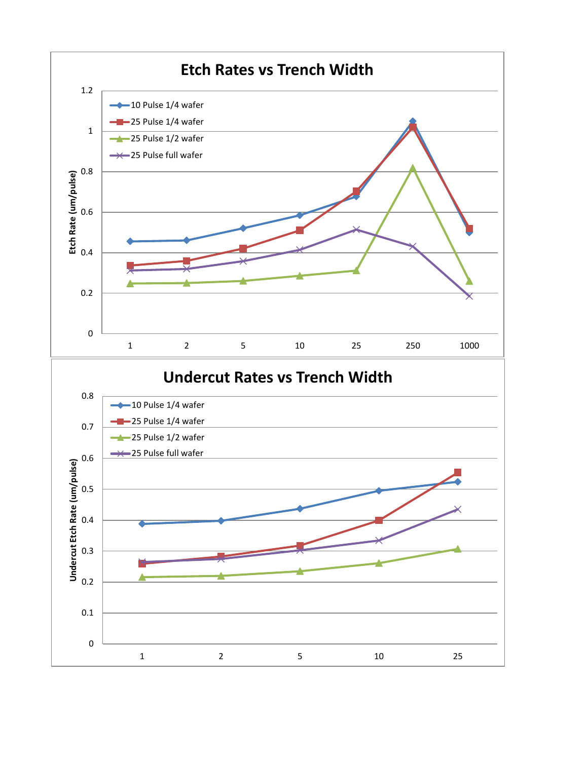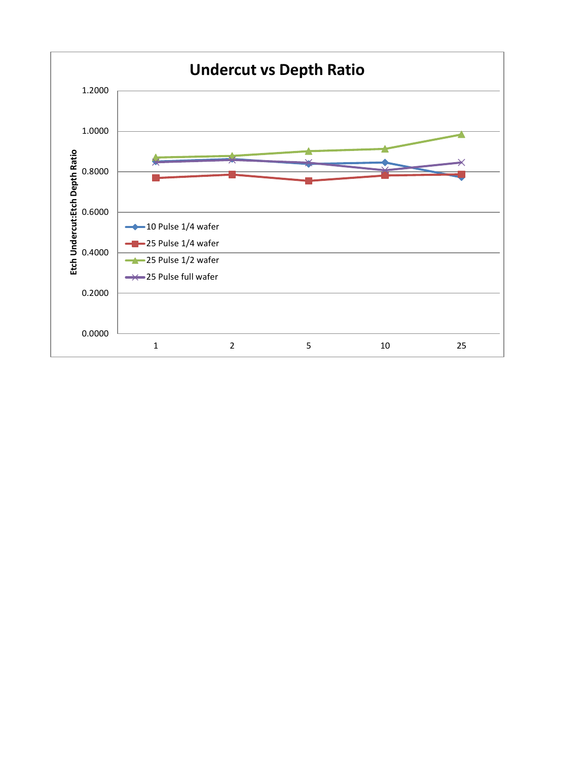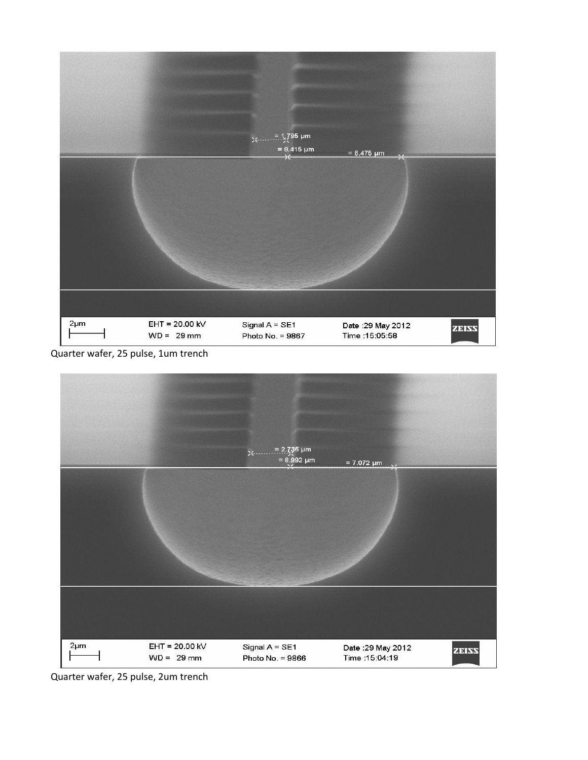

Quarter wafer, 25 pulse, 1um trench



Quarter wafer, 25 pulse, 2um trench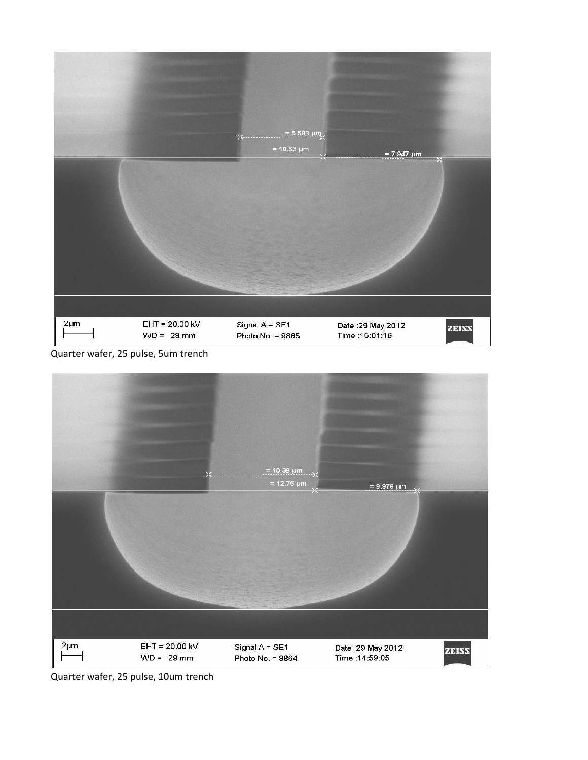

Quarter wafer, 25 pulse, 5um trench



Quarter wafer, 25 pulse, 10um trench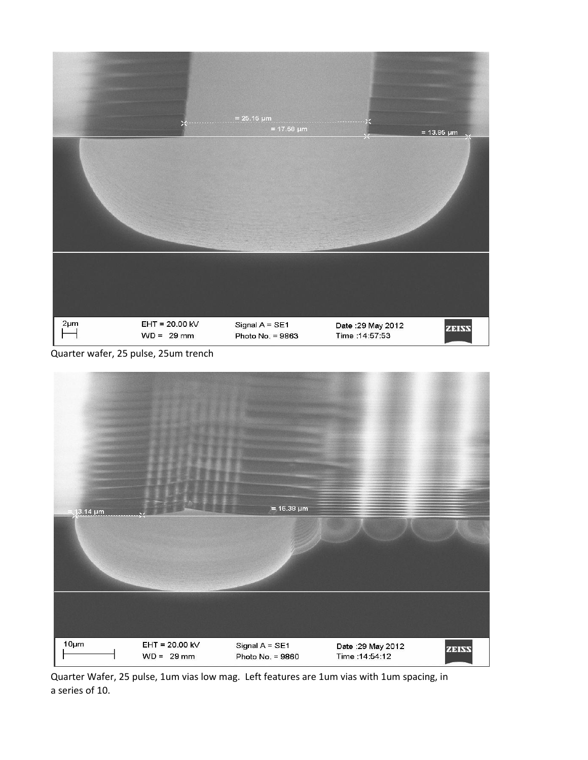

Quarter wafer, 25 pulse, 25um trench



Quarter Wafer, 25 pulse, 1um vias low mag. Left features are 1um vias with 1um spacing, in a series of 10.